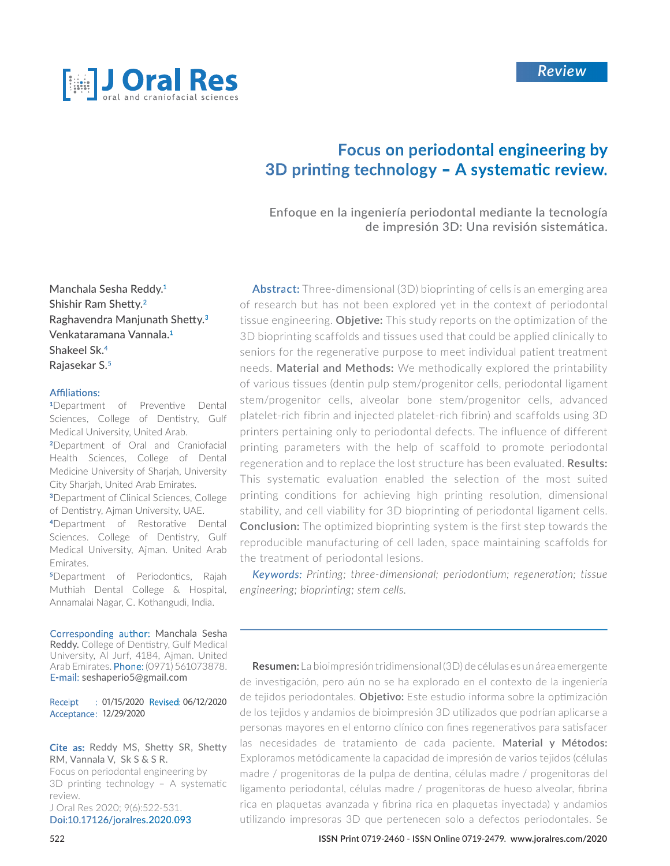

# Focus on periodontal engineering by 3D printing technology - A systematic review.

Enfoque en la ingeniería periodontal mediante la tecnología de impresión 3D: Una revisión sistemática.

Manchala Sesha Reddy. Shishir Ram Shetty. Raghavendra Manjunath Shetty. Venkataramana Vannala. Shakeel Sk. Rajasekar S.

Department of Preventive Dental Sciences, College of Dentistry, Gulf Medical University, United Arab. Department of Oral and Craniofacial Health Sciences, College of Dental Medicine University of Sharjah, University City Sharjah, United Arab Emirates. Department of Clinical Sciences, College of Dentistry, Ajman University, UAE. Department of Restorative Dental Sciences. College of Dentistry, Gulf

Medical University, Ajman. United Arab Emirates.

Department of Periodontics, Rajah Muthiah Dental College & Hospital, Annamalai Nagar, C. Kothangudi, India.

Corresponding author: Manchala Sesha Reddy. College of Dentistry, Gulf Medical University, Al Jurf, 4184, Ajman. United Arab Emirates. Phone: (0971) 561073878. E-mail: seshaperio5@gmail.com

Receipt : 01/15/2020 Revised: 06/12/2020 Acceptance: 12/29/2020

#### Cite as: Reddy MS, Shetty SR, Shetty RM, Vannala V, Sk S & S R.

Focus on periodontal engineering by 3D printing technology – A systematic review. J Oral Res 2020; 9(6):522-531.

Doi:10.17126/joralres.2020.093

**Expanding Americal**<br> **Expanding Abstract:** Three-dimensional (3D) biopprinting of cells is an<br> **Shetty.<sup>3</sup> Constant Constant Constant Constant Constant Constant Constant Constant Constant Constant Constant<br>
<b>Expanding A** Abstract: Three-dimensional (3D) bioprinting of cells is an emerging area of research but has not been explored yet in the context of periodontal tissue engineering. **Objetive:** This study reports on the optimization of the 3D bioprinting scaffolds and tissues used that could be applied clinically to seniors for the regenerative purpose to meet individual patient treatment needs. **Material and Methods:** We methodically explored the printability of various tissues (dentin pulp stem/progenitor cells, periodontal ligament stem/progenitor cells, alveolar bone stem/progenitor cells, advanced platelet-rich fibrin and injected platelet-rich fibrin) and scaffolds using 3D printers pertaining only to periodontal defects. The influence of different printing parameters with the help of scaffold to promote periodontal regeneration and to replace the lost structure has been evaluated. **Results:**  This systematic evaluation enabled the selection of the most suited printing conditions for achieving high printing resolution, dimensional stability, and cell viability for 3D bioprinting of periodontal ligament cells. **Conclusion:** The optimized bioprinting system is the first step towards the reproducible manufacturing of cell laden, space maintaining scaffolds for the treatment of periodontal lesions.

*Printing; three-dimensional; periodontium; regeneration; tissue engineering; bioprinting; stem cells.*

**Resumen:** La bioimpresión tridimensional (3D) de células es un área emergente de investigación, pero aún no se ha explorado en el contexto de la ingeniería de tejidos periodontales. **Objetivo:** Este estudio informa sobre la optimización de los tejidos y andamios de bioimpresión 3D utilizados que podrían aplicarse a personas mayores en el entorno clínico con fines regenerativos para satisfacer las necesidades de tratamiento de cada paciente. **Material y Métodos:** Exploramos metódicamente la capacidad de impresión de varios tejidos (células madre / progenitoras de la pulpa de dentina, células madre / progenitoras del ligamento periodontal, células madre / progenitoras de hueso alveolar, fibrina rica en plaquetas avanzada y fibrina rica en plaquetas inyectada) y andamios utilizando impresoras 3D que pertenecen solo a defectos periodontales. Se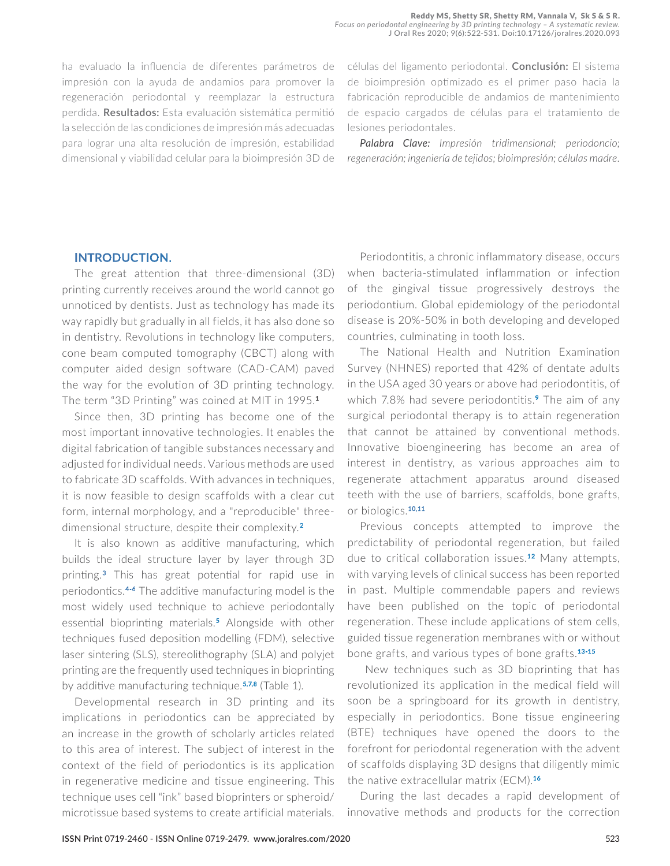ha evaluado la influencia de diferentes parámetros de impresión con la ayuda de andamios para promover la regeneración periodontal y reemplazar la estructura perdida. **Resultados:** Esta evaluación sistemática permitió la selección de las condiciones de impresión más adecuadas para lograr una alta resolución de impresión, estabilidad dimensional y viabilidad celular para la bioimpresión 3D de

células del ligamento periodontal. **Conclusión:** El sistema de bioimpresión optimizado es el primer paso hacia la fabricación reproducible de andamios de mantenimiento de espacio cargados de células para el tratamiento de lesiones periodontales.

*Palabra Clave: Impresión tridimensional; periodoncio; regeneración; ingeniería de tejidos; bioimpresión; células madre.*

#### **INTRODUCTION.**

The great attention that three-dimensional (3D) printing currently receives around the world cannot go unnoticed by dentists. Just as technology has made its way rapidly but gradually in all fields, it has also done so in dentistry. Revolutions in technology like computers, cone beam computed tomography (CBCT) along with computer aided design software (CAD-CAM) paved the way for the evolution of 3D printing technology. The term "3D Printing" was coined at MIT in 1995.**<sup>1</sup>**

Since then, 3D printing has become one of the most important innovative technologies. It enables the digital fabrication of tangible substances necessary and adjusted for individual needs. Various methods are used to fabricate 3D scaffolds. With advances in techniques, it is now feasible to design scaffolds with a clear cut form, internal morphology, and a "reproducible" threedimensional structure, despite their complexity.<sup>2</sup>

It is also known as additive manufacturing, which builds the ideal structure layer by layer through 3D printing.<sup>3</sup> This has great potential for rapid use in periodontics.<sup>4-6</sup> The additive manufacturing model is the most widely used technique to achieve periodontally essential bioprinting materials.<sup>5</sup> Alongside with other techniques fused deposition modelling (FDM), selective laser sintering (SLS), stereolithography (SLA) and polyjet printing are the frequently used techniques in bioprinting by additive manufacturing technique.<sup>5,7,8</sup> (Table 1).

Developmental research in 3D printing and its implications in periodontics can be appreciated by an increase in the growth of scholarly articles related to this area of interest. The subject of interest in the context of the field of periodontics is its application in regenerative medicine and tissue engineering. This technique uses cell "ink" based bioprinters or spheroid/ microtissue based systems to create artificial materials.

Periodontitis, a chronic inflammatory disease, occurs when bacteria-stimulated inflammation or infection of the gingival tissue progressively destroys the periodontium. Global epidemiology of the periodontal disease is 20%-50% in both developing and developed countries, culminating in tooth loss.

The National Health and Nutrition Examination Survey (NHNES) reported that 42% of dentate adults in the USA aged 30 years or above had periodontitis, of which 7.8% had severe periodontitis.<sup>9</sup> The aim of any surgical periodontal therapy is to attain regeneration that cannot be attained by conventional methods. Innovative bioengineering has become an area of interest in dentistry, as various approaches aim to regenerate attachment apparatus around diseased teeth with the use of barriers, scaffolds, bone grafts, or biologics.<sup>10,11</sup>

Previous concepts attempted to improve the predictability of periodontal regeneration, but failed due to critical collaboration issues.<sup>12</sup> Many attempts, with varying levels of clinical success has been reported in past. Multiple commendable papers and reviews have been published on the topic of periodontal regeneration. These include applications of stem cells, guided tissue regeneration membranes with or without bone grafts, and various types of bone grafts.<sup>13-15</sup>

 New techniques such as 3D bioprinting that has revolutionized its application in the medical field will soon be a springboard for its growth in dentistry, especially in periodontics. Bone tissue engineering (BTE) techniques have opened the doors to the forefront for periodontal regeneration with the advent of scaffolds displaying 3D designs that diligently mimic the native extracellular matrix (ECM).<sup>16</sup>

During the last decades a rapid development of innovative methods and products for the correction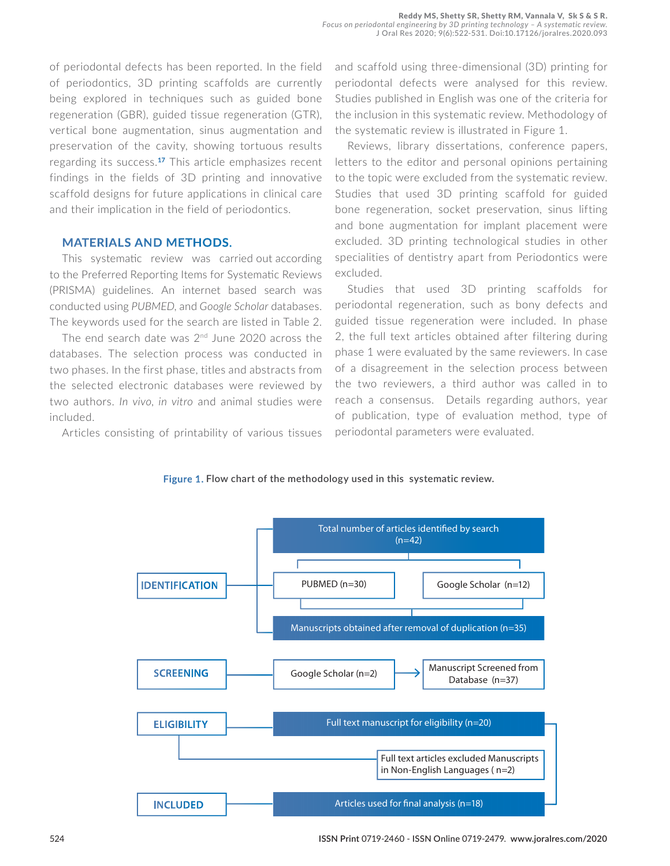of periodontal defects has been reported. In the field of periodontics, 3D printing scaffolds are currently being explored in techniques such as guided bone regeneration (GBR), guided tissue regeneration (GTR), vertical bone augmentation, sinus augmentation and preservation of the cavity, showing tortuous results regarding its success.<sup>17</sup> This article emphasizes recent findings in the fields of 3D printing and innovative scaffold designs for future applications in clinical care and their implication in the field of periodontics.

### **MATERIALS AND METHODS.**

This systematic review was carried out according to the Preferred Reporting Items for Systematic Reviews (PRISMA) guidelines. An internet based search was conducted using *PUBMED*, and *Google Scholar* databases. The keywords used for the search are listed in Table 2.

The end search date was 2<sup>nd</sup> June 2020 across the databases. The selection process was conducted in two phases. In the first phase, titles and abstracts from the selected electronic databases were reviewed by two authors. *In vivo, in vitro* and animal studies were included.

Articles consisting of printability of various tissues

and scaffold using three-dimensional (3D) printing for periodontal defects were analysed for this review. Studies published in English was one of the criteria for the inclusion in this systematic review. Methodology of the systematic review is illustrated in Figure 1.

Reviews, library dissertations, conference papers, letters to the editor and personal opinions pertaining to the topic were excluded from the systematic review. Studies that used 3D printing scaffold for guided bone regeneration, socket preservation, sinus lifting and bone augmentation for implant placement were excluded. 3D printing technological studies in other specialities of dentistry apart from Periodontics were excluded.

Studies that used 3D printing scaffolds for periodontal regeneration, such as bony defects and guided tissue regeneration were included. In phase 2, the full text articles obtained after filtering during phase 1 were evaluated by the same reviewers. In case of a disagreement in the selection process between the two reviewers, a third author was called in to reach a consensus. Details regarding authors, year of publication, type of evaluation method, type of periodontal parameters were evaluated.



#### Figure 1. Flow chart of the methodology used in this systematic review.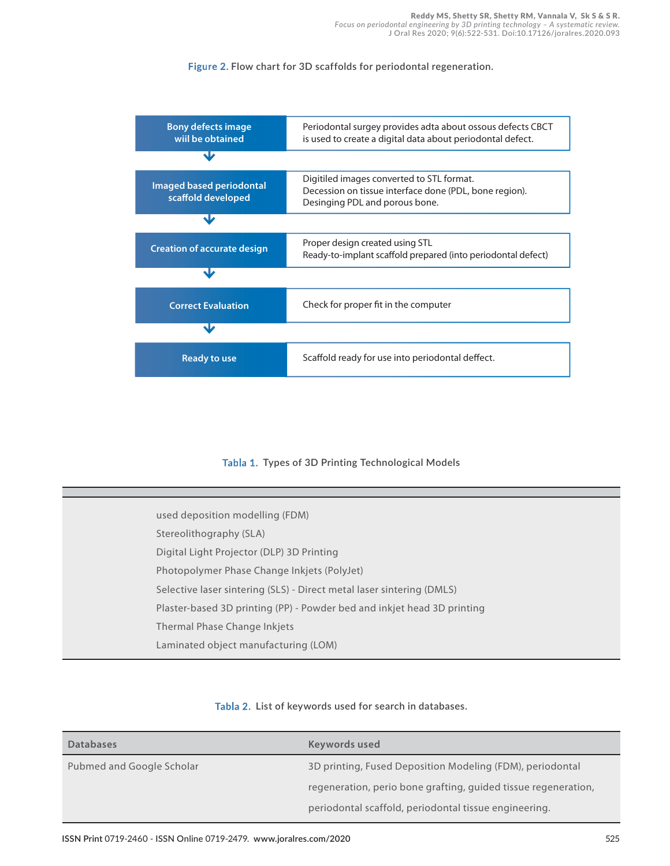#### Figure 2. Flow chart for 3D scaffolds for periodontal regeneration.



### Tabla 1. Types of 3D Printing Technological Models

| used deposition modelling (FDM)                                         |
|-------------------------------------------------------------------------|
| Stereolithography (SLA)                                                 |
| Digital Light Projector (DLP) 3D Printing                               |
| Photopolymer Phase Change Inkjets (PolyJet)                             |
| Selective laser sintering (SLS) - Direct metal laser sintering (DMLS)   |
| Plaster-based 3D printing (PP) - Powder bed and inkjet head 3D printing |
| Thermal Phase Change Inkjets                                            |
| Laminated object manufacturing (LOM)                                    |
|                                                                         |

#### Tabla 2. List of keywords used for search in databases.

| <b>Databases</b>          | Keywords used                                                  |
|---------------------------|----------------------------------------------------------------|
| Pubmed and Google Scholar | 3D printing, Fused Deposition Modeling (FDM), periodontal      |
|                           | regeneration, perio bone grafting, guided tissue regeneration, |
|                           | periodontal scaffold, periodontal tissue engineering.          |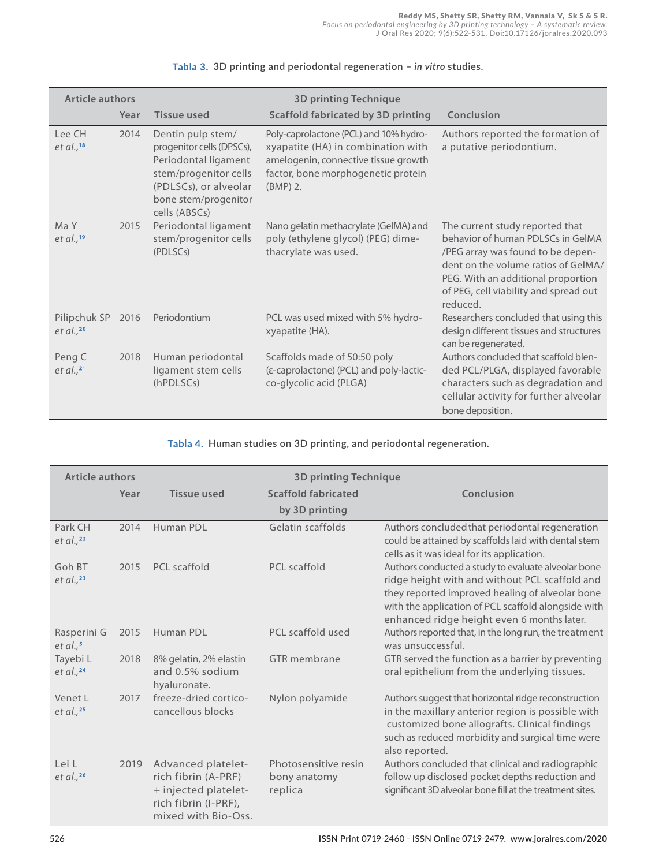| <b>Article authors</b>       |      |                                                                                                                                                                   | <b>3D printing Technique</b>                                                                                                                                           |                                                                                                                                                                                                                                             |
|------------------------------|------|-------------------------------------------------------------------------------------------------------------------------------------------------------------------|------------------------------------------------------------------------------------------------------------------------------------------------------------------------|---------------------------------------------------------------------------------------------------------------------------------------------------------------------------------------------------------------------------------------------|
|                              | Year | <b>Tissue used</b>                                                                                                                                                | <b>Scaffold fabricated by 3D printing</b>                                                                                                                              | Conclusion                                                                                                                                                                                                                                  |
| Lee CH<br>et al., $18$       | 2014 | Dentin pulp stem/<br>progenitor cells (DPSCs),<br>Periodontal ligament<br>stem/progenitor cells<br>(PDLSCs), or alveolar<br>bone stem/progenitor<br>cells (ABSCs) | Poly-caprolactone (PCL) and 10% hydro-<br>xyapatite (HA) in combination with<br>amelogenin, connective tissue growth<br>factor, bone morphogenetic protein<br>(BMP) 2. | Authors reported the formation of<br>a putative periodontium.                                                                                                                                                                               |
| Ma Y<br>et al., $19$         | 2015 | Periodontal ligament<br>stem/progenitor cells<br>(PDLSCs)                                                                                                         | Nano gelatin methacrylate (GelMA) and<br>poly (ethylene glycol) (PEG) dime-<br>thacrylate was used.                                                                    | The current study reported that<br>behavior of human PDLSCs in GelMA<br>/PEG array was found to be depen-<br>dent on the volume ratios of GelMA/<br>PEG. With an additional proportion<br>of PEG, cell viability and spread out<br>reduced. |
| Pilipchuk SP<br>et al., $20$ | 2016 | Periodontium                                                                                                                                                      | PCL was used mixed with 5% hydro-<br>xyapatite (HA).                                                                                                                   | Researchers concluded that using this<br>design different tissues and structures<br>can be regenerated.                                                                                                                                     |
| Peng C<br>et al., $21$       | 2018 | Human periodontal<br>ligament stem cells<br>(hPDLSCs)                                                                                                             | Scaffolds made of 50:50 poly<br>(ε-caprolactone) (PCL) and poly-lactic-<br>co-glycolic acid (PLGA)                                                                     | Authors concluded that scaffold blen-<br>ded PCL/PLGA, displayed favorable<br>characters such as degradation and<br>cellular activity for further alveolar<br>bone deposition.                                                              |

#### **3D printing and periodontal regeneration –** *in vitro* **studies.**

 **Human studies on 3D printing, and periodontal regeneration.**

| <b>Article authors</b>       |      | <b>3D printing Technique</b>                                                                                     |                                                 |                                                                                                                                                                                                                                                               |  |
|------------------------------|------|------------------------------------------------------------------------------------------------------------------|-------------------------------------------------|---------------------------------------------------------------------------------------------------------------------------------------------------------------------------------------------------------------------------------------------------------------|--|
|                              | Year | <b>Tissue used</b>                                                                                               | <b>Scaffold fabricated</b>                      | Conclusion                                                                                                                                                                                                                                                    |  |
|                              |      |                                                                                                                  | by 3D printing                                  |                                                                                                                                                                                                                                                               |  |
| Park CH<br>$et$ al., $22$    | 2014 | Human PDI                                                                                                        | Gelatin scaffolds                               | Authors concluded that periodontal regeneration<br>could be attained by scaffolds laid with dental stem<br>cells as it was ideal for its application.                                                                                                         |  |
| Goh BT<br>$et$ al., $^{23}$  | 2015 | PCL scaffold                                                                                                     | <b>PCL</b> scaffold                             | Authors conducted a study to evaluate alveolar bone<br>ridge height with and without PCL scaffold and<br>they reported improved healing of alveolar bone<br>with the application of PCL scaffold alongside with<br>enhanced ridge height even 6 months later. |  |
| Rasperini G<br>$et$ al., $5$ | 2015 | Human PDL                                                                                                        | PCL scaffold used                               | Authors reported that, in the long run, the treatment<br>was unsuccessful.                                                                                                                                                                                    |  |
| Tayebi L<br>et al., $24$     | 2018 | 8% gelatin, 2% elastin<br>and 0.5% sodium<br>hyaluronate.                                                        | GTR membrane                                    | GTR served the function as a barrier by preventing<br>oral epithelium from the underlying tissues.                                                                                                                                                            |  |
| Venet L<br>et al., $25$      | 2017 | freeze-dried cortico-<br>cancellous blocks                                                                       | Nylon polyamide                                 | Authors suggest that horizontal ridge reconstruction<br>in the maxillary anterior region is possible with<br>customized bone allografts. Clinical findings<br>such as reduced morbidity and surgical time were<br>also reported.                              |  |
| Lei L<br>et al., $26$        | 2019 | Advanced platelet-<br>rich fibrin (A-PRF)<br>+ injected platelet-<br>rich fibrin (I-PRF),<br>mixed with Bio-Oss. | Photosensitive resin<br>bony anatomy<br>replica | Authors concluded that clinical and radiographic<br>follow up disclosed pocket depths reduction and<br>significant 3D alveolar bone fill at the treatment sites.                                                                                              |  |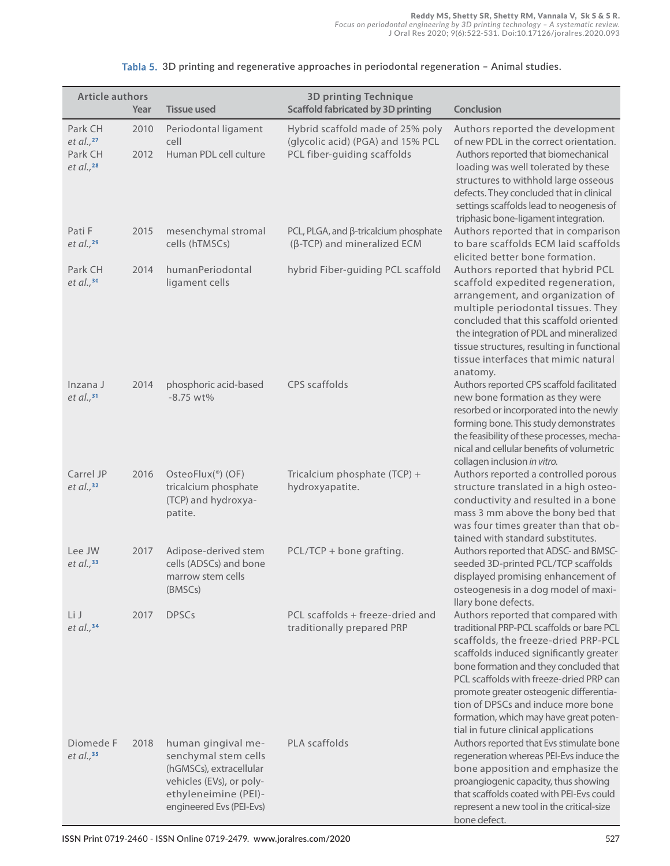| <b>Article authors</b>                             |              |                                                                                                                                                       | <b>3D printing Technique</b>                                                                         |                                                                                                                                                                                                                                                                                                                                                                                                                            |  |  |  |
|----------------------------------------------------|--------------|-------------------------------------------------------------------------------------------------------------------------------------------------------|------------------------------------------------------------------------------------------------------|----------------------------------------------------------------------------------------------------------------------------------------------------------------------------------------------------------------------------------------------------------------------------------------------------------------------------------------------------------------------------------------------------------------------------|--|--|--|
| Year                                               |              | <b>Tissue used</b>                                                                                                                                    | <b>Scaffold fabricated by 3D printing</b>                                                            | Conclusion                                                                                                                                                                                                                                                                                                                                                                                                                 |  |  |  |
| Park CH<br>et al., $27$<br>Park CH<br>et al., $28$ | 2010<br>2012 | Periodontal ligament<br>cell<br>Human PDL cell culture                                                                                                | Hybrid scaffold made of 25% poly<br>(glycolic acid) (PGA) and 15% PCL<br>PCL fiber-guiding scaffolds | Authors reported the development<br>of new PDL in the correct orientation.<br>Authors reported that biomechanical<br>loading was well tolerated by these<br>structures to withhold large osseous<br>defects. They concluded that in clinical<br>settings scaffolds lead to neogenesis of<br>triphasic bone-ligament integration.                                                                                           |  |  |  |
| Pati F<br>$et$ al., $^{29}$                        | 2015         | mesenchymal stromal<br>cells (hTMSCs)                                                                                                                 | PCL, PLGA, and $\beta$ -tricalcium phosphate<br>$(\beta$ -TCP) and mineralized ECM                   | Authors reported that in comparison<br>to bare scaffolds ECM laid scaffolds<br>elicited better bone formation.                                                                                                                                                                                                                                                                                                             |  |  |  |
| Park CH<br>et al., $30$                            | 2014         | humanPeriodontal<br>ligament cells                                                                                                                    | hybrid Fiber-guiding PCL scaffold                                                                    | Authors reported that hybrid PCL<br>scaffold expedited regeneration,<br>arrangement, and organization of<br>multiple periodontal tissues. They<br>concluded that this scaffold oriented<br>the integration of PDL and mineralized<br>tissue structures, resulting in functional<br>tissue interfaces that mimic natural<br>anatomy.                                                                                        |  |  |  |
| Inzana J<br>$et$ al., $31$                         | 2014         | phosphoric acid-based<br>$-8.75$ wt%                                                                                                                  | CPS scaffolds                                                                                        | Authors reported CPS scaffold facilitated<br>new bone formation as they were<br>resorbed or incorporated into the newly<br>forming bone. This study demonstrates<br>the feasibility of these processes, mecha-<br>nical and cellular benefits of volumetric<br>collagen inclusion in vitro.                                                                                                                                |  |  |  |
| Carrel JP<br>et al., $32$                          | 2016         | OsteoFlux(®) (OF)<br>tricalcium phosphate<br>(TCP) and hydroxya-<br>patite.                                                                           | Tricalcium phosphate (TCP) +<br>hydroxyapatite.                                                      | Authors reported a controlled porous<br>structure translated in a high osteo-<br>conductivity and resulted in a bone<br>mass 3 mm above the bony bed that<br>was four times greater than that ob-<br>tained with standard substitutes.                                                                                                                                                                                     |  |  |  |
| Lee JW<br>et al., $33$                             | 2017         | Adipose-derived stem<br>cells (ADSCs) and bone<br>marrow stem cells<br>(BMSCs)                                                                        | $PCL/TCP + bone grating.$                                                                            | Authors reported that ADSC- and BMSC-<br>seeded 3D-printed PCL/TCP scaffolds<br>displayed promising enhancement of<br>osteogenesis in a dog model of maxi-<br>llary bone defects.                                                                                                                                                                                                                                          |  |  |  |
| Li J<br>et al., $34$                               | 2017         | <b>DPSCs</b>                                                                                                                                          | PCL scaffolds + freeze-dried and<br>traditionally prepared PRP                                       | Authors reported that compared with<br>traditional PRP-PCL scaffolds or bare PCL<br>scaffolds, the freeze-dried PRP-PCL<br>scaffolds induced significantly greater<br>bone formation and they concluded that<br>PCL scaffolds with freeze-dried PRP can<br>promote greater osteogenic differentia-<br>tion of DPSCs and induce more bone<br>formation, which may have great poten-<br>tial in future clinical applications |  |  |  |
| Diomede F<br>$et$ al., $35$                        | 2018         | human gingival me-<br>senchymal stem cells<br>(hGMSCs), extracellular<br>vehicles (EVs), or poly-<br>ethyleneimine (PEI)-<br>engineered Evs (PEI-Evs) | PLA scaffolds                                                                                        | Authors reported that Evs stimulate bone<br>regeneration whereas PEI-Evs induce the<br>bone apposition and emphasize the<br>proangiogenic capacity, thus showing<br>that scaffolds coated with PEI-Evs could<br>represent a new tool in the critical-size<br>bone defect.                                                                                                                                                  |  |  |  |

#### **3D printing and regenerative approaches in periodontal regeneration – Animal studies.**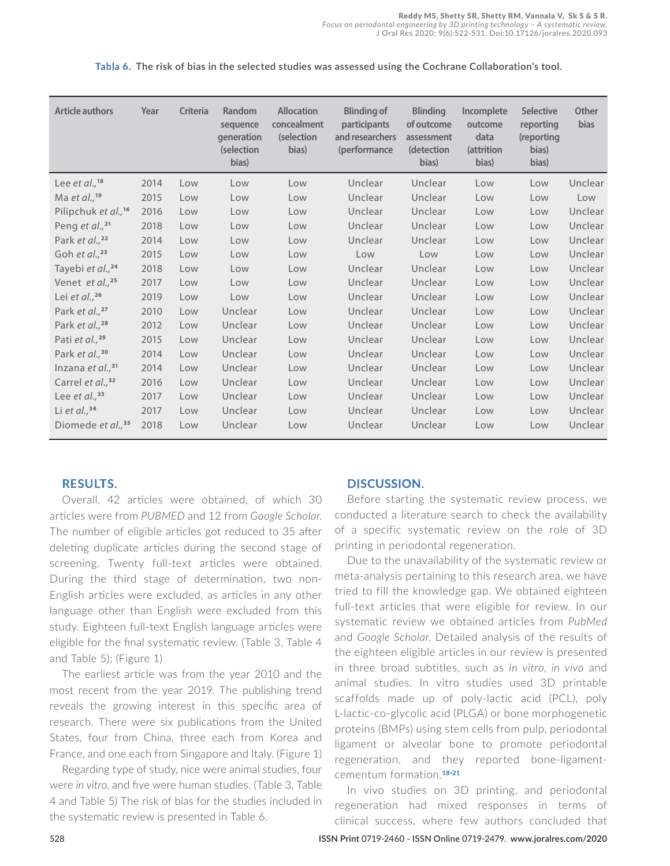| <b>Article authors</b>          | Year | <b>Criteria</b> | Random<br>sequence<br><b>generation</b><br>(selection<br>bias) | <b>Allocation</b><br>concealment<br><i>(selection)</i><br>bias) | <b>Blinding of</b><br>participants<br>and researchers<br>(performance | <b>Blinding</b><br>of outcome<br>assessment<br>(detection<br>bias) | Incomplete<br>outcome<br>data<br>(attrition<br>bias) | <b>Selective</b><br>reporting<br>(reporting<br>bias)<br>bias) | <b>Other</b><br><b>bias</b> |
|---------------------------------|------|-----------------|----------------------------------------------------------------|-----------------------------------------------------------------|-----------------------------------------------------------------------|--------------------------------------------------------------------|------------------------------------------------------|---------------------------------------------------------------|-----------------------------|
| Lee et al., <sup>18</sup>       | 2014 | Low             | Low                                                            | Low                                                             | Unclear                                                               | Unclear                                                            | Low                                                  | Low                                                           | Unclear                     |
| Ma et al., <sup>19</sup>        | 2015 | Low             | Low                                                            | Low                                                             | Unclear                                                               | Unclear                                                            | Low                                                  | Low                                                           | Low                         |
| Pilipchuk et al., <sup>16</sup> | 2016 | Low             | Low                                                            | Low                                                             | Unclear                                                               | Unclear                                                            | Low                                                  | Low                                                           | Unclear                     |
| Peng et al., $^{21}$            | 2018 | Low             | Low                                                            | Low                                                             | Unclear                                                               | Unclear                                                            | Low                                                  | Low                                                           | Unclear                     |
| Park et al., <sup>22</sup>      | 2014 | Low             | Low                                                            | Low                                                             | Unclear                                                               | Unclear                                                            | Low                                                  | Low                                                           | Unclear                     |
| Goh et al., $23$                | 2015 | Low             | Low                                                            | Low                                                             | Low                                                                   | Low                                                                | Low                                                  | Low                                                           | Unclear                     |
| Tayebi et al., <sup>24</sup>    | 2018 | Low             | Low                                                            | Low                                                             | Unclear                                                               | Unclear                                                            | Low                                                  | Low                                                           | Unclear                     |
| Venet et al., <sup>25</sup>     | 2017 | Low             | Low                                                            | Low                                                             | Unclear                                                               | Unclear                                                            | Low                                                  | Low                                                           | Unclear                     |
| Lei et al., $26$                | 2019 | Low             | Low                                                            | Low                                                             | Unclear                                                               | Unclear                                                            | Low                                                  | Low                                                           | Unclear                     |
| Park et al., <sup>27</sup>      | 2010 | Low             | Unclear                                                        | Low                                                             | Unclear                                                               | Unclear                                                            | Low                                                  | Low                                                           | Unclear                     |
| Park et al., <sup>28</sup>      | 2012 | Low             | Unclear                                                        | Low                                                             | Unclear                                                               | Unclear                                                            | Low                                                  | Low                                                           | Unclear                     |
| Pati et al., <sup>29</sup>      | 2015 | Low             | Unclear                                                        | Low                                                             | Unclear                                                               | Unclear                                                            | Low                                                  | Low                                                           | Unclear                     |
| Park et al., <sup>30</sup>      | 2014 | Low             | Unclear                                                        | Low                                                             | Unclear                                                               | Unclear                                                            | Low                                                  | Low                                                           | Unclear                     |
| Inzana et $al.^{31}$            | 2014 | Low             | Unclear                                                        | Low                                                             | Unclear                                                               | Unclear                                                            | Low                                                  | Low                                                           | Unclear                     |
| Carrel et al., <sup>32</sup>    | 2016 | Low             | Unclear                                                        | Low                                                             | Unclear                                                               | Unclear                                                            | Low                                                  | Low                                                           | Unclear                     |
| Lee et al., $33$                | 2017 | Low             | Unclear                                                        | Low                                                             | Unclear                                                               | Unclear                                                            | Low                                                  | Low                                                           | Unclear                     |
| Li et al., $34$                 | 2017 | Low             | Unclear                                                        | Low                                                             | Unclear                                                               | Unclear                                                            | Low                                                  | Low                                                           | Unclear                     |
| Diomede et al., <sup>35</sup>   | 2018 | Low             | Unclear                                                        | Low                                                             | Unclear                                                               | Unclear                                                            | Low                                                  | Low                                                           | Unclear                     |

 **The risk of bias in the selected studies was assessed using the Cochrane Collaboration's tool.**

# **RESULTS.**

Overall, 42 articles were obtained, of which 30 articles were from *PUBMED* and 12 from *Google Scholar*. The number of eligible articles got reduced to 35 after deleting duplicate articles during the second stage of screening. Twenty full-text articles were obtained. During the third stage of determination, two non-English articles were excluded, as articles in any other language other than English were excluded from this study. Eighteen full-text English language articles were eligible for the final systematic review. (Table 3, Table 4 and Table 5); (Figure 1)

The earliest article was from the year 2010 and the most recent from the year 2019. The publishing trend reveals the growing interest in this specific area of research. There were six publications from the United States, four from China, three each from Korea and France, and one each from Singapore and Italy. (Figure 1)

Regarding type of study, nice were animal studies, four were *in vitro,* and five were human studies. (Table 3, Table 4 and Table 5) The risk of bias for the studies included in the systematic review is presented in Table 6.

#### **DISCUSSION.**

Before starting the systematic review process, we conducted a literature search to check the availability of a specific systematic review on the role of 3D printing in periodontal regeneration.

Due to the unavailability of the systematic review or meta-analysis pertaining to this research area, we have tried to fill the knowledge gap. We obtained eighteen full-text articles that were eligible for review. In our systematic review we obtained articles from *PubMed* and *Google Scholar*. Detailed analysis of the results of the eighteen eligible articles in our review is presented in three broad subtitles, such as *in vitro*, *in vivo* and animal studies. In vitro studies used 3D printable scaffolds made up of poly-lactic acid (PCL), poly L-lactic-co-glycolic acid (PLGA) or bone morphogenetic proteins (BMPs) using stem cells from pulp, periodontal ligament or alveolar bone to promote periodontal regeneration, and they reported bone-ligamentcementum formation.<sup>18-21</sup>

In vivo studies on 3D printing, and periodontal regeneration had mixed responses in terms of clinical success, where few authors concluded that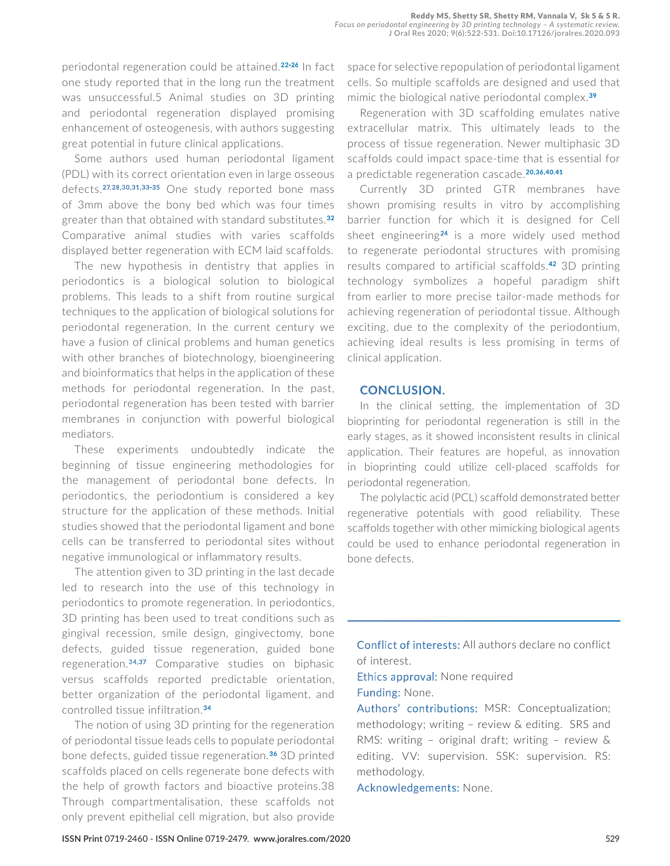periodontal regeneration could be attained.<sup>22-26</sup> In fact one study reported that in the long run the treatment was unsuccessful.5 Animal studies on 3D printing and periodontal regeneration displayed promising enhancement of osteogenesis, with authors suggesting great potential in future clinical applications.

Some authors used human periodontal ligament (PDL) with its correct orientation even in large osseous defects.<sup>27,28,30,31,33-35</sup> One study reported bone mass of 3mm above the bony bed which was four times greater than that obtained with standard substitutes.<sup>32</sup> Comparative animal studies with varies scaffolds displayed better regeneration with ECM laid scaffolds.

The new hypothesis in dentistry that applies in periodontics is a biological solution to biological problems. This leads to a shift from routine surgical techniques to the application of biological solutions for periodontal regeneration. In the current century we have a fusion of clinical problems and human genetics with other branches of biotechnology, bioengineering and bioinformatics that helps in the application of these methods for periodontal regeneration. In the past, periodontal regeneration has been tested with barrier membranes in conjunction with powerful biological mediators.

These experiments undoubtedly indicate the beginning of tissue engineering methodologies for the management of periodontal bone defects. In periodontics, the periodontium is considered a key structure for the application of these methods. Initial studies showed that the periodontal ligament and bone cells can be transferred to periodontal sites without negative immunological or inflammatory results.

The attention given to 3D printing in the last decade led to research into the use of this technology in periodontics to promote regeneration. In periodontics, 3D printing has been used to treat conditions such as gingival recession, smile design, gingivectomy, bone defects, guided tissue regeneration, guided bone regeneration.<sup>34,37</sup> Comparative studies on biphasic versus scaffolds reported predictable orientation, better organization of the periodontal ligament, and controlled tissue infiltration.

The notion of using 3D printing for the regeneration of periodontal tissue leads cells to populate periodontal bone defects, guided tissue regeneration.<sup>36</sup> 3D printed scaffolds placed on cells regenerate bone defects with the help of growth factors and bioactive proteins.38 Through compartmentalisation, these scaffolds not only prevent epithelial cell migration, but also provide space for selective repopulation of periodontal ligament cells. So multiple scaffolds are designed and used that mimic the biological native periodontal complex.<sup>39</sup>

Regeneration with 3D scaffolding emulates native extracellular matrix. This ultimately leads to the process of tissue regeneration. Newer multiphasic 3D scaffolds could impact space-time that is essential for a predictable regeneration cascade.<sup>20,36,40,41</sup>

Currently 3D printed GTR membranes have shown promising results in vitro by accomplishing barrier function for which it is designed for Cell sheet engineering<sup>24</sup> is a more widely used method to regenerate periodontal structures with promising results compared to artificial scaffolds.<sup>42</sup> 3D printing technology symbolizes a hopeful paradigm shift from earlier to more precise tailor-made methods for achieving regeneration of periodontal tissue. Although exciting, due to the complexity of the periodontium, achieving ideal results is less promising in terms of clinical application.

#### **CONCLUSION.**

In the clinical setting, the implementation of 3D bioprinting for periodontal regeneration is still in the early stages, as it showed inconsistent results in clinical application. Their features are hopeful, as innovation in bioprinting could utilize cell-placed scaffolds for periodontal regeneration.

The polylactic acid (PCL) scaffold demonstrated better regenerative potentials with good reliability. These scaffolds together with other mimicking biological agents could be used to enhance periodontal regeneration in bone defects.

Conflict of interests: All authors declare no conflict of interest.

Ethics approval: None required Funding: None.

Authors' contributions: MSR: Conceptualization; methodology; writing – review & editing. SRS and RMS: writing – original draft; writing – review & editing. VV: supervision. SSK: supervision. RS: methodology.

Acknowledgements: None.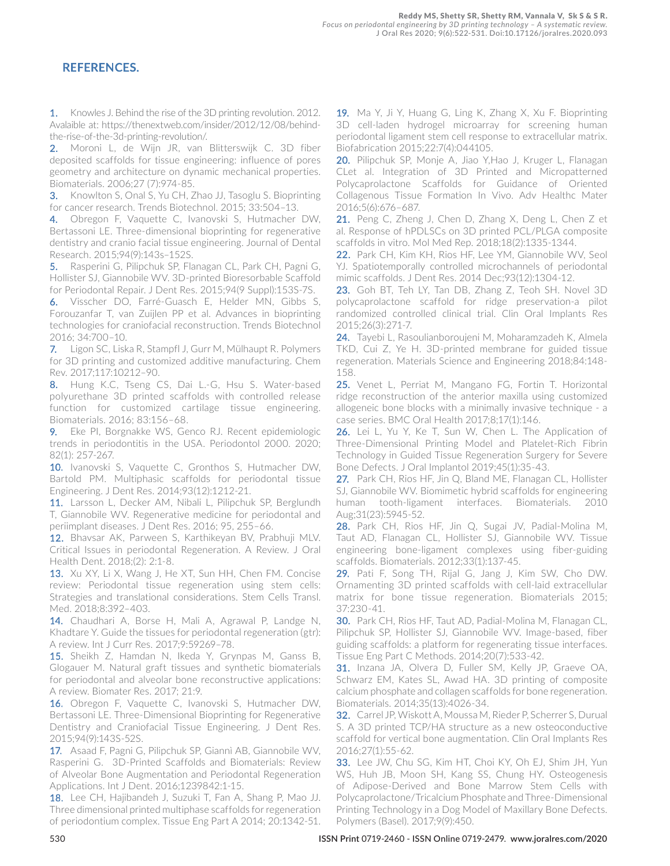## **REFERENCES.**

1. Knowles J. Behind the rise of the 3D printing revolution. 2012. Avalaible at: https://thenextweb.com/insider/2012/12/08/behindthe-rise-of-the-3d-printing-revolution/.

2. Moroni L, de Wijn JR, van Blitterswijk C. 3D fiber deposited scaffolds for tissue engineering: influence of pores geometry and architecture on dynamic mechanical properties. Biomaterials. 2006;27 (7):974-85.

**3.** Knowlton S, Onal S, Yu CH, Zhao JJ, Tasoglu S. Bioprinting for cancer research. Trends Biotechnol. 2015; 33:504–13.

4. Obregon F, Vaquette C, Ivanovski S, Hutmacher DW, Bertassoni LE. Three-dimensional bioprinting for regenerative dentistry and cranio facial tissue engineering. Journal of Dental Research. 2015;94(9):143s–152S.

5. Rasperini G, Pilipchuk SP, Flanagan CL, Park CH, Pagni G, Hollister SJ, Giannobile WV. 3D-printed Bioresorbable Scaffold for Periodontal Repair. J Dent Res. 2015;94(9 Suppl):153S-7S.

6. Visscher DO, Farré-Guasch E, Helder MN, Gibbs S, Forouzanfar T, van Zuijlen PP et al. Advances in bioprinting technologies for craniofacial reconstruction. Trends Biotechnol 2016; 34:700–10.

7. Ligon SC, Liska R, Stampfl J, Gurr M, Mülhaupt R. Polymers for 3D printing and customized additive manufacturing. Chem Rev. 2017;117:10212–90.

8. Hung K.C, Tseng CS, Dai L.-G, Hsu S. Water-based polyurethane 3D printed scaffolds with controlled release function for customized cartilage tissue engineering. Biomaterials. 2016; 83:156–68.

9. Eke PI, Borgnakke WS, Genco RJ. Recent epidemiologic trends in periodontitis in the USA. Periodontol 2000. 2020; 82(1): 257-267.

10. Ivanovski S, Vaquette C, Gronthos S, Hutmacher DW, Bartold PM. Multiphasic scaffolds for periodontal tissue Engineering. J Dent Res. 2014;93(12):1212-21.

11. Larsson L, Decker AM, Nibali L, Pilipchuk SP, Berglundh T, Giannobile WV. Regenerative medicine for periodontal and periimplant diseases. J Dent Res. 2016; 95, 255–66.

12. Bhavsar AK, Parween S, Karthikeyan BV, Prabhuji MLV. Critical Issues in periodontal Regeneration. A Review. J Oral Health Dent. 2018;(2): 2:1-8.

13. Xu XY, Li X, Wang J, He XT, Sun HH, Chen FM. Concise review: Periodontal tissue regeneration using stem cells: Strategies and translational considerations. Stem Cells Transl. Med. 2018;8:392–403.

14. Chaudhari A, Borse H, Mali A, Agrawal P, Landge N, Khadtare Y. Guide the tissues for periodontal regeneration (gtr): A review. Int J Curr Res. 2017;9:59269–78.

15. Sheikh Z, Hamdan N, Ikeda Y, Grynpas M, Ganss B, Glogauer M. Natural graft tissues and synthetic biomaterials for periodontal and alveolar bone reconstructive applications: A review. Biomater Res. 2017; 21:9.

16. Obregon F, Vaquette C, Ivanovski S, Hutmacher DW, Bertassoni LE. Three-Dimensional Bioprinting for Regenerative Dentistry and Craniofacial Tissue Engineering. J Dent Res. 2015;94(9):143S-52S.

17. Asaad F, Pagni G, Pilipchuk SP, Giannì AB, Giannobile WV, Rasperini G. 3D-Printed Scaffolds and Biomaterials: Review of Alveolar Bone Augmentation and Periodontal Regeneration Applications. Int J Dent. 2016;1239842:1-15.

18. Lee CH, Hajibandeh J, Suzuki T, Fan A, Shang P, Mao JJ. Three dimensional printed multiphase scaffolds for regeneration of periodontium complex. Tissue Eng Part A 2014; 20:1342-51.

19. Ma Y, Ji Y, Huang G, Ling K, Zhang X, Xu F. Bioprinting 3D cell-laden hydrogel microarray for screening human periodontal ligament stem cell response to extracellular matrix. Biofabrication 2015;22:7(4):044105.

20. Pilipchuk SP, Monje A, Jiao Y, Hao J, Kruger L, Flanagan CLet al. Integration of 3D Printed and Micropatterned Polycaprolactone Scaffolds for Guidance of Oriented Collagenous Tissue Formation In Vivo. Adv Healthc Mater 2016;5(6):676–687.

21. Peng C, Zheng J, Chen D, Zhang X, Deng L, Chen Z et al. Response of hPDLSCs on 3D printed PCL/PLGA composite scaffolds in vitro. Mol Med Rep. 2018;18(2):1335-1344.

22. Park CH, Kim KH, Rios HF, Lee YM, Giannobile WV, Seol YJ. Spatiotemporally controlled microchannels of periodontal mimic scaffolds. J Dent Res. 2014 Dec;93(12):1304-12.

23. Goh BT, Teh LY, Tan DB, Zhang Z, Teoh SH. Novel 3D polycaprolactone scaffold for ridge preservation-a pilot randomized controlled clinical trial. Clin Oral Implants Res 2015;26(3):271-7.

24. Tayebi L, Rasoulianboroujeni M, Moharamzadeh K, Almela TKD, Cui Z, Ye H. 3D-printed membrane for guided tissue regeneration. Materials Science and Engineering 2018;84:148- 158.

25. Venet L, Perriat M, Mangano FG, Fortin T. Horizontal ridge reconstruction of the anterior maxilla using customized allogeneic bone blocks with a minimally invasive technique - a case series. BMC Oral Health 2017;8;17(1):146.

26. Lei L, Yu Y, Ke T, Sun W, Chen L. The Application of Three-Dimensional Printing Model and Platelet-Rich Fibrin Technology in Guided Tissue Regeneration Surgery for Severe Bone Defects. J Oral Implantol 2019;45(1):35-43.

27. Park CH, Rios HF, Jin Q, Bland ME, Flanagan CL, Hollister SJ, Giannobile WV. Biomimetic hybrid scaffolds for engineering human tooth-ligament interfaces. Biomaterials. 2010 Aug;31(23):5945-52.

28. Park CH, Rios HF, Jin Q, Sugai JV, Padial-Molina M, Taut AD, Flanagan CL, Hollister SJ, Giannobile WV. Tissue engineering bone-ligament complexes using fiber-guiding scaffolds. Biomaterials. 2012;33(1):137-45.

29. Pati F, Song TH, Rijal G, Jang J, Kim SW, Cho DW. Ornamenting 3D printed scaffolds with cell-laid extracellular matrix for bone tissue regeneration. Biomaterials 2015; 37:230-41.

30. Park CH, Rios HF, Taut AD, Padial-Molina M, Flanagan CL, Pilipchuk SP, Hollister SJ, Giannobile WV. Image-based, fiber guiding scaffolds: a platform for regenerating tissue interfaces. Tissue Eng Part C Methods. 2014;20(7):533-42.

31. Inzana JA, Olvera D, Fuller SM, Kelly JP, Graeve OA, Schwarz EM, Kates SL, Awad HA. 3D printing of composite calcium phosphate and collagen scaffolds for bone regeneration. Biomaterials. 2014;35(13):4026-34.

32. Carrel JP, Wiskott A, Moussa M, Rieder P, Scherrer S, Durual S. A 3D printed TCP/HA structure as a new osteoconductive scaffold for vertical bone augmentation. Clin Oral Implants Res 2016;27(1):55-62.

33. Lee JW, Chu SG, Kim HT, Choi KY, Oh EJ, Shim JH, Yun WS, Huh JB, Moon SH, Kang SS, Chung HY. Osteogenesis of Adipose-Derived and Bone Marrow Stem Cells with Polycaprolactone/Tricalcium Phosphate and Three-Dimensional Printing Technology in a Dog Model of Maxillary Bone Defects. Polymers (Basel). 2017;9(9):450.